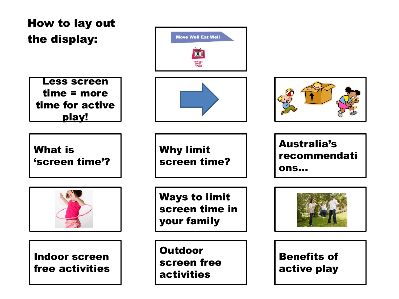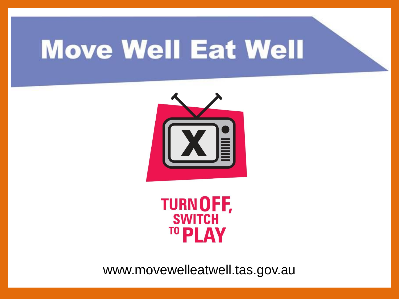



www.movewelleatwell.tas.gov.au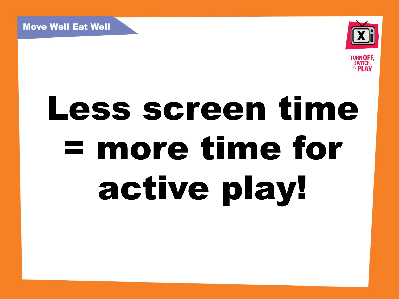



# Less screen time = more time for active play!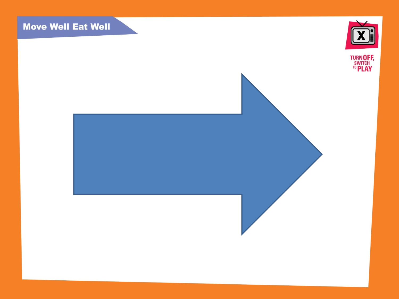

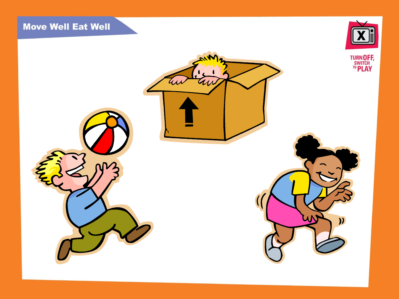

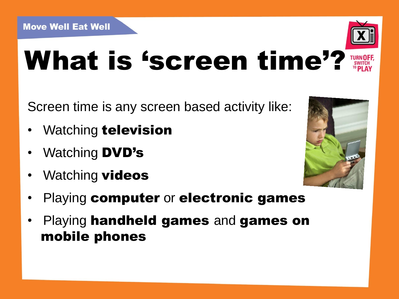

### What is 'screen time'?

Screen time is any screen based activity like:

- Watching **television**
- Watching **DVD's**
- Watching **videos**



- Playing computer or electronic games
- Playing handheld games and games on mobile phones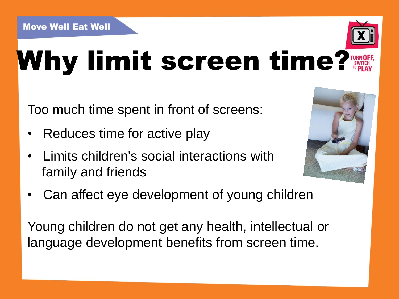

### Why limit screen time?

Too much time spent in front of screens:

- Reduces time for active play
- Limits children's social interactions with family and friends



• Can affect eye development of young children

Young children do not get any health, intellectual or language development benefits from screen time.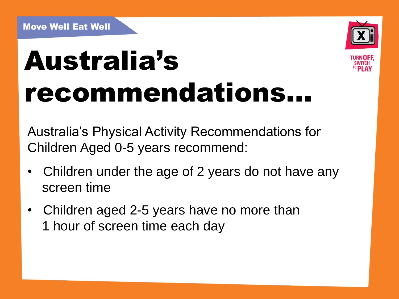

## Australia's recommendations…

Australia's Physical Activity Recommendations for Children Aged 0-5 years recommend:

- Children under the age of 2 years do not have any screen time
- Children aged 2-5 years have no more than 1 hour of screen time each day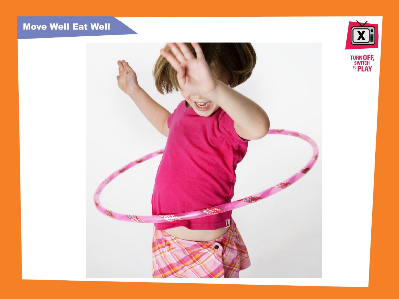

**TURN OFF,<br>SWITCH<br><sup>TO</sup> PLAY** 

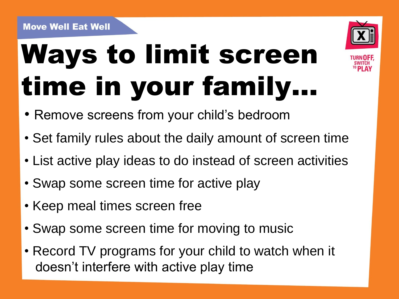## Ways to limit screen time in your family…



• Remove screens from your child's bedroom

- Set family rules about the daily amount of screen time
- List active play ideas to do instead of screen activities
- Swap some screen time for active play
- Keep meal times screen free
- Swap some screen time for moving to music
- Record TV programs for your child to watch when it doesn't interfere with active play time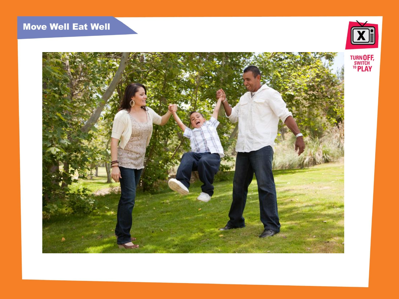



**TURN OFF,<br>SWITCH<br><sup>TO</sup> PLAY**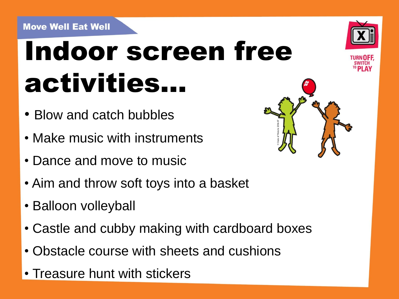### Indoor screen free activities…

- Blow and catch bubbles
- Make music with instruments
- Dance and move to music
- Aim and throw soft toys into a basket
- Balloon volleyball
- Castle and cubby making with cardboard boxes
- Obstacle course with sheets and cushions
- Treasure hunt with stickers



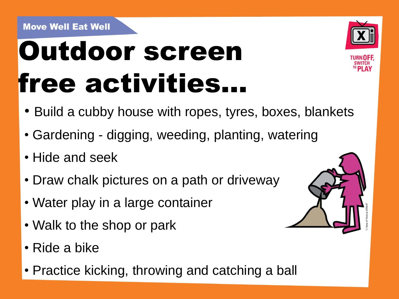### Outdoor screen free activities…



- Build a cubby house with ropes, tyres, boxes, blankets
- Gardening digging, weeding, planting, watering
- Hide and seek
- Draw chalk pictures on a path or driveway
- Water play in a large container
- Walk to the shop or park
- Ride a bike
- Practice kicking, throwing and catching a ball